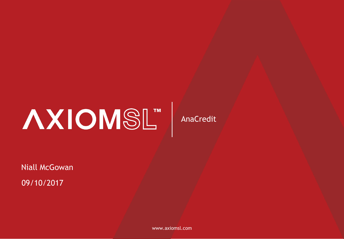# **AXIOMSLT**

AnaCredit

Niall McGowan 09/10/2017

www.axiomsl.com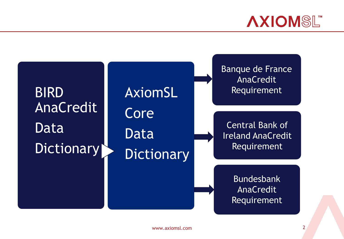

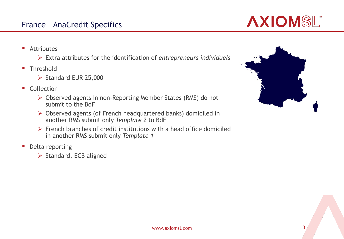## **AXIOMSL®**

- Attributes
	- ➢ Extra attributes for the identification of *entrepreneurs individuels*
- **■** Threshold
	- ➢ Standard EUR 25,000
- Collection
	- ➢ Observed agents in non-Reporting Member States (RMS) do not submit to the BdF
	- ➢ Observed agents (of French headquartered banks) domiciled in another RMS submit only *Template 2* to BdF
	- $\triangleright$  French branches of credit institutions with a head office domiciled in another RMS submit only *Template 1*
- Delta reporting
	- $\triangleright$  Standard, ECB aligned

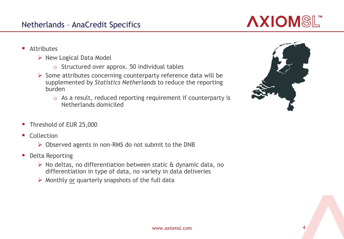

- Attributes
	- $\triangleright$  New Logical Data Model
		- o Structured over approx. 50 individual tables
	- ➢ Some attributes concerning counterparty reference data will be supplemented by *Statistics Netherlands* to reduce the reporting burden
		- o As a result, reduced reporting requirement if counterparty is Netherlands domiciled
- Threshold of EUR 25,000
- Collection
	- ➢ Observed agents in non-RMS do not submit to the DNB
- Delta Reporting
	- $\triangleright$  No deltas, no differentiation between static & dynamic data, no differentiation in type of data, no variety in data deliveries
	- $\triangleright$  Monthly or quarterly snapshots of the full data

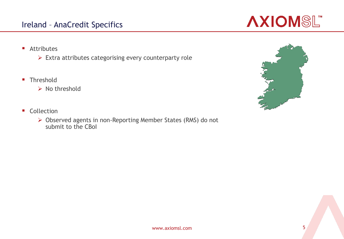

- Attributes
	- $\triangleright$  Extra attributes categorising every counterparty role
- **■** Threshold
	- ➢ No threshold
- Collection
	- ➢ Observed agents in non-Reporting Member States (RMS) do not submit to the CBoI

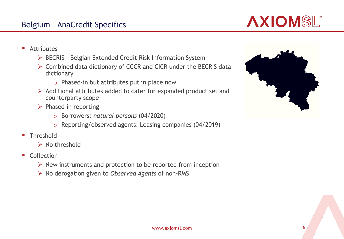#### ➢ Combined data dictionary of CCCR and CICR under the BECRIS data dictionary

o Phased-in but attributes put in place now

➢ BECRIS – Belgian Extended Credit Risk Information System

- ➢ Additional attributes added to cater for expanded product set and counterparty scope
- ➢ Phased in reporting

Belgium – AnaCredit Specifics

- o Borrowers: *natural persons* (04/2020)
- o Reporting/observed agents: Leasing companies (04/2019)
- Threshold

■ Attributes

- ➢ No threshold
- Collection
	- $\triangleright$  New instruments and protection to be reported from inception
	- ➢ No derogation given to *Observed Agents* of non-RMS

6

# **AXIOMSL®**

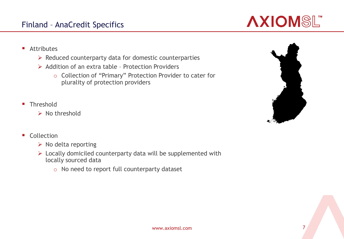## **AXIOMSL®**

- Attributes
	- ➢ Reduced counterparty data for domestic counterparties
	- ➢ Addition of an extra table Protection Providers
		- o Collection of "Primary" Protection Provider to cater for plurality of protection providers
- Threshold
	- ➢ No threshold
- Collection
	- $\triangleright$  No delta reporting
	- $\triangleright$  Locally domiciled counterparty data will be supplemented with locally sourced data
		- o No need to report full counterparty dataset

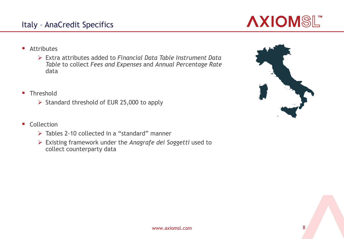#### Italy – AnaCredit Specifics

#### ■ Attributes

- ➢ Extra attributes added to *Financial Data Table Instrument Data Table* to collect *Fees and Expenses* and *Annual Percentage Rate* data
- **■** Threshold
	- ➢ Standard threshold of EUR 25,000 to apply

#### ■ Collection

- ➢ Tables 2-10 collected in a "standard" manner
- ➢ Existing framework under the *Anagrafe dei Soggetti* used to collect counterparty data



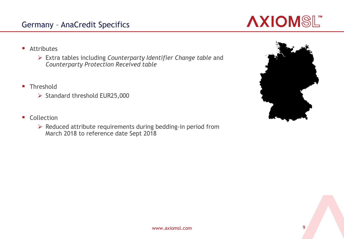

- Attributes
	- ➢ Extra tables including *Counterparty Identifier Change table* and *Counterparty Protection Received table*
- **■** Threshold
	- $\triangleright$  Standard threshold EUR25,000
- Collection
	- $\triangleright$  Reduced attribute requirements during bedding-in period from March 2018 to reference date Sept 2018

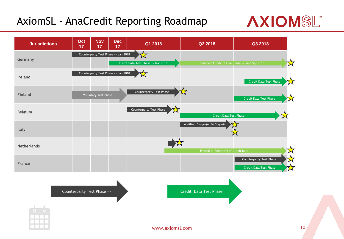### AxiomSL - AnaCredit Reporting Roadmap